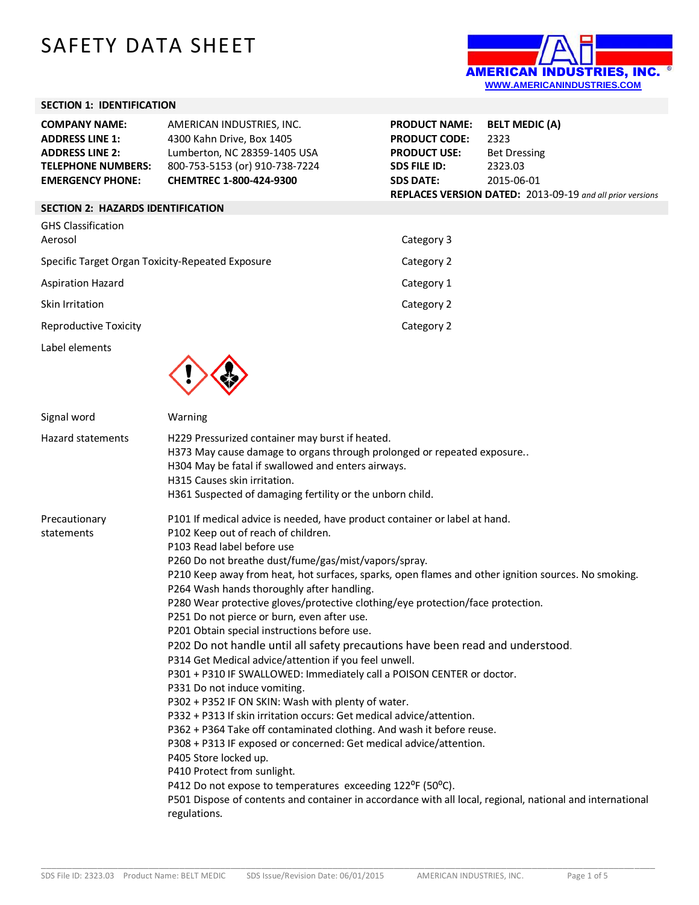# SAFETY DATA SHEET



# **SECTION 1: IDENTIFICATION**

| <b>COMPANY NAME:</b>      | AMERICAN INDUSTRIES, INC.      | <b>PRODUCT NAME:</b> | <b>BELT MEDIC (A)</b>                                            |
|---------------------------|--------------------------------|----------------------|------------------------------------------------------------------|
| <b>ADDRESS LINE 1:</b>    | 4300 Kahn Drive, Box 1405      | <b>PRODUCT CODE:</b> | 2323                                                             |
| <b>ADDRESS LINE 2:</b>    | Lumberton, NC 28359-1405 USA   | <b>PRODUCT USE:</b>  | <b>Bet Dressing</b>                                              |
| <b>TELEPHONE NUMBERS:</b> | 800-753-5153 (or) 910-738-7224 | SDS FILE ID:         | 2323.03                                                          |
| <b>EMERGENCY PHONE:</b>   | <b>CHEMTREC 1-800-424-9300</b> | <b>SDS DATE:</b>     | 2015-06-01                                                       |
|                           |                                |                      | <b>REPLACES VERSION DATED:</b> 2013-09-19 and all prior versions |

# **SECTION 2: HAZARDS IDENTIFICATION**

| <b>GHS Classification</b><br>Aerosol             | Category 3 |
|--------------------------------------------------|------------|
| Specific Target Organ Toxicity-Repeated Exposure | Category 2 |
| <b>Aspiration Hazard</b>                         | Category 1 |
| Skin Irritation                                  | Category 2 |
| <b>Reproductive Toxicity</b>                     | Category 2 |
| Label elements<br>$\blacksquare$                 |            |



| Signal word                 | Warning                                                                                                                                                                                                                                                                                                                                                                                                                                                                                                                                                                                                                                                                                                                                                                                                                                                                                                                                                                                                                                                                                                                                                                                                                                                                                                                            |
|-----------------------------|------------------------------------------------------------------------------------------------------------------------------------------------------------------------------------------------------------------------------------------------------------------------------------------------------------------------------------------------------------------------------------------------------------------------------------------------------------------------------------------------------------------------------------------------------------------------------------------------------------------------------------------------------------------------------------------------------------------------------------------------------------------------------------------------------------------------------------------------------------------------------------------------------------------------------------------------------------------------------------------------------------------------------------------------------------------------------------------------------------------------------------------------------------------------------------------------------------------------------------------------------------------------------------------------------------------------------------|
| <b>Hazard statements</b>    | H229 Pressurized container may burst if heated.<br>H373 May cause damage to organs through prolonged or repeated exposure<br>H304 May be fatal if swallowed and enters airways.<br>H315 Causes skin irritation.<br>H361 Suspected of damaging fertility or the unborn child.                                                                                                                                                                                                                                                                                                                                                                                                                                                                                                                                                                                                                                                                                                                                                                                                                                                                                                                                                                                                                                                       |
| Precautionary<br>statements | P101 If medical advice is needed, have product container or label at hand.<br>P102 Keep out of reach of children.<br>P103 Read label before use<br>P260 Do not breathe dust/fume/gas/mist/vapors/spray.<br>P210 Keep away from heat, hot surfaces, sparks, open flames and other ignition sources. No smoking.<br>P264 Wash hands thoroughly after handling.<br>P280 Wear protective gloves/protective clothing/eye protection/face protection.<br>P251 Do not pierce or burn, even after use.<br>P201 Obtain special instructions before use.<br>P202 Do not handle until all safety precautions have been read and understood.<br>P314 Get Medical advice/attention if you feel unwell.<br>P301 + P310 IF SWALLOWED: Immediately call a POISON CENTER or doctor.<br>P331 Do not induce vomiting.<br>P302 + P352 IF ON SKIN: Wash with plenty of water.<br>P332 + P313 If skin irritation occurs: Get medical advice/attention.<br>P362 + P364 Take off contaminated clothing. And wash it before reuse.<br>P308 + P313 IF exposed or concerned: Get medical advice/attention.<br>P405 Store locked up.<br>P410 Protect from sunlight.<br>P412 Do not expose to temperatures exceeding 122°F (50°C).<br>P501 Dispose of contents and container in accordance with all local, regional, national and international<br>regulations. |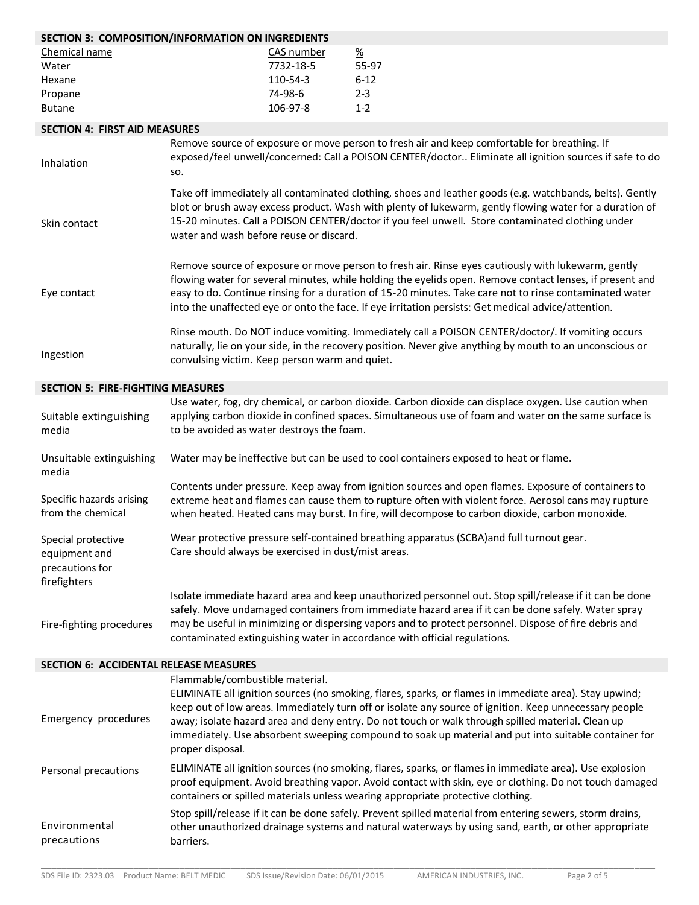| SECTION 3: COMPOSITION/INFORMATION ON INGREDIENTS                      |                                                                                                                                                                                                                                                                                                                                                                                                                                                                                      |            |                                                                                                                                                                                                                                                                                                      |
|------------------------------------------------------------------------|--------------------------------------------------------------------------------------------------------------------------------------------------------------------------------------------------------------------------------------------------------------------------------------------------------------------------------------------------------------------------------------------------------------------------------------------------------------------------------------|------------|------------------------------------------------------------------------------------------------------------------------------------------------------------------------------------------------------------------------------------------------------------------------------------------------------|
| Chemical name                                                          |                                                                                                                                                                                                                                                                                                                                                                                                                                                                                      | CAS number | $\frac{\%}{\%}$                                                                                                                                                                                                                                                                                      |
| Water                                                                  |                                                                                                                                                                                                                                                                                                                                                                                                                                                                                      | 7732-18-5  | 55-97                                                                                                                                                                                                                                                                                                |
| Hexane                                                                 |                                                                                                                                                                                                                                                                                                                                                                                                                                                                                      | 110-54-3   | $6 - 12$                                                                                                                                                                                                                                                                                             |
| Propane                                                                |                                                                                                                                                                                                                                                                                                                                                                                                                                                                                      | 74-98-6    | $2 - 3$                                                                                                                                                                                                                                                                                              |
| <b>Butane</b>                                                          |                                                                                                                                                                                                                                                                                                                                                                                                                                                                                      | 106-97-8   | $1 - 2$                                                                                                                                                                                                                                                                                              |
| <b>SECTION 4: FIRST AID MEASURES</b>                                   |                                                                                                                                                                                                                                                                                                                                                                                                                                                                                      |            |                                                                                                                                                                                                                                                                                                      |
|                                                                        |                                                                                                                                                                                                                                                                                                                                                                                                                                                                                      |            |                                                                                                                                                                                                                                                                                                      |
| Inhalation                                                             | Remove source of exposure or move person to fresh air and keep comfortable for breathing. If<br>exposed/feel unwell/concerned: Call a POISON CENTER/doctor Eliminate all ignition sources if safe to do<br>SO.                                                                                                                                                                                                                                                                       |            |                                                                                                                                                                                                                                                                                                      |
| Skin contact                                                           | Take off immediately all contaminated clothing, shoes and leather goods (e.g. watchbands, belts). Gently<br>blot or brush away excess product. Wash with plenty of lukewarm, gently flowing water for a duration of<br>15-20 minutes. Call a POISON CENTER/doctor if you feel unwell. Store contaminated clothing under<br>water and wash before reuse or discard.                                                                                                                   |            |                                                                                                                                                                                                                                                                                                      |
| Eye contact                                                            | Remove source of exposure or move person to fresh air. Rinse eyes cautiously with lukewarm, gently<br>flowing water for several minutes, while holding the eyelids open. Remove contact lenses, if present and<br>easy to do. Continue rinsing for a duration of 15-20 minutes. Take care not to rinse contaminated water<br>into the unaffected eye or onto the face. If eye irritation persists: Get medical advice/attention.                                                     |            |                                                                                                                                                                                                                                                                                                      |
| Ingestion                                                              | Rinse mouth. Do NOT induce vomiting. Immediately call a POISON CENTER/doctor/. If vomiting occurs<br>naturally, lie on your side, in the recovery position. Never give anything by mouth to an unconscious or<br>convulsing victim. Keep person warm and quiet.                                                                                                                                                                                                                      |            |                                                                                                                                                                                                                                                                                                      |
| <b>SECTION 5: FIRE-FIGHTING MEASURES</b>                               |                                                                                                                                                                                                                                                                                                                                                                                                                                                                                      |            |                                                                                                                                                                                                                                                                                                      |
|                                                                        |                                                                                                                                                                                                                                                                                                                                                                                                                                                                                      |            | Use water, fog, dry chemical, or carbon dioxide. Carbon dioxide can displace oxygen. Use caution when                                                                                                                                                                                                |
| Suitable extinguishing<br>media                                        | to be avoided as water destroys the foam.                                                                                                                                                                                                                                                                                                                                                                                                                                            |            | applying carbon dioxide in confined spaces. Simultaneous use of foam and water on the same surface is                                                                                                                                                                                                |
| Unsuitable extinguishing<br>media                                      | Water may be ineffective but can be used to cool containers exposed to heat or flame.                                                                                                                                                                                                                                                                                                                                                                                                |            |                                                                                                                                                                                                                                                                                                      |
| Specific hazards arising<br>from the chemical                          | Contents under pressure. Keep away from ignition sources and open flames. Exposure of containers to<br>extreme heat and flames can cause them to rupture often with violent force. Aerosol cans may rupture<br>when heated. Heated cans may burst. In fire, will decompose to carbon dioxide, carbon monoxide.                                                                                                                                                                       |            |                                                                                                                                                                                                                                                                                                      |
| Special protective<br>equipment and<br>precautions for<br>firefighters | Wear protective pressure self-contained breathing apparatus (SCBA) and full turnout gear.<br>Care should always be exercised in dust/mist areas.                                                                                                                                                                                                                                                                                                                                     |            |                                                                                                                                                                                                                                                                                                      |
| Fire-fighting procedures                                               | Isolate immediate hazard area and keep unauthorized personnel out. Stop spill/release if it can be done<br>safely. Move undamaged containers from immediate hazard area if it can be done safely. Water spray<br>may be useful in minimizing or dispersing vapors and to protect personnel. Dispose of fire debris and<br>contaminated extinguishing water in accordance with official regulations.                                                                                  |            |                                                                                                                                                                                                                                                                                                      |
| <b>SECTION 6: ACCIDENTAL RELEASE MEASURES</b>                          |                                                                                                                                                                                                                                                                                                                                                                                                                                                                                      |            |                                                                                                                                                                                                                                                                                                      |
| Emergency procedures                                                   | Flammable/combustible material.<br>ELIMINATE all ignition sources (no smoking, flares, sparks, or flames in immediate area). Stay upwind;<br>keep out of low areas. Immediately turn off or isolate any source of ignition. Keep unnecessary people<br>away; isolate hazard area and deny entry. Do not touch or walk through spilled material. Clean up<br>immediately. Use absorbent sweeping compound to soak up material and put into suitable container for<br>proper disposal. |            |                                                                                                                                                                                                                                                                                                      |
| Personal precautions                                                   |                                                                                                                                                                                                                                                                                                                                                                                                                                                                                      |            | ELIMINATE all ignition sources (no smoking, flares, sparks, or flames in immediate area). Use explosion<br>proof equipment. Avoid breathing vapor. Avoid contact with skin, eye or clothing. Do not touch damaged<br>containers or spilled materials unless wearing appropriate protective clothing. |
| Environmental<br>precautions                                           | Stop spill/release if it can be done safely. Prevent spilled material from entering sewers, storm drains,<br>other unauthorized drainage systems and natural waterways by using sand, earth, or other appropriate<br>barriers.                                                                                                                                                                                                                                                       |            |                                                                                                                                                                                                                                                                                                      |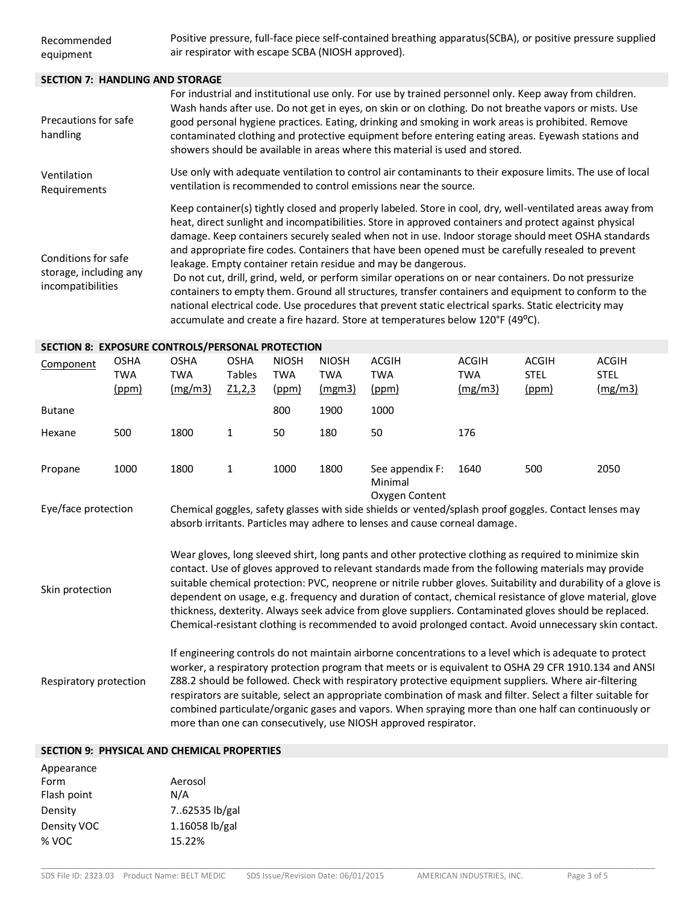## **SECTION 7: HANDLING AND STORAGE**

| Precautions for safe<br>handling                                   | For industrial and institutional use only. For use by trained personnel only. Keep away from children.<br>Wash hands after use. Do not get in eyes, on skin or on clothing. Do not breathe vapors or mists. Use<br>good personal hygiene practices. Eating, drinking and smoking in work areas is prohibited. Remove<br>contaminated clothing and protective equipment before entering eating areas. Eyewash stations and<br>showers should be available in areas where this material is used and stored.                                                                                                                                                                                                                                                                                                                                                                                                       |
|--------------------------------------------------------------------|-----------------------------------------------------------------------------------------------------------------------------------------------------------------------------------------------------------------------------------------------------------------------------------------------------------------------------------------------------------------------------------------------------------------------------------------------------------------------------------------------------------------------------------------------------------------------------------------------------------------------------------------------------------------------------------------------------------------------------------------------------------------------------------------------------------------------------------------------------------------------------------------------------------------|
| Ventilation<br>Requirements                                        | Use only with adequate ventilation to control air contaminants to their exposure limits. The use of local<br>ventilation is recommended to control emissions near the source.                                                                                                                                                                                                                                                                                                                                                                                                                                                                                                                                                                                                                                                                                                                                   |
| Conditions for safe<br>storage, including any<br>incompatibilities | Keep container(s) tightly closed and properly labeled. Store in cool, dry, well-ventilated areas away from<br>heat, direct sunlight and incompatibilities. Store in approved containers and protect against physical<br>damage. Keep containers securely sealed when not in use. Indoor storage should meet OSHA standards<br>and appropriate fire codes. Containers that have been opened must be carefully resealed to prevent<br>leakage. Empty container retain residue and may be dangerous.<br>Do not cut, drill, grind, weld, or perform similar operations on or near containers. Do not pressurize<br>containers to empty them. Ground all structures, transfer containers and equipment to conform to the<br>national electrical code. Use procedures that prevent static electrical sparks. Static electricity may<br>accumulate and create a fire hazard. Store at temperatures below 120°F (49°C). |

# **SECTION 8: EXPOSURE CONTROLS/PERSONAL PROTECTION**

| Component                                                                                                                                                                                                                                                                                                                                                                                                                                                                                                                                                                                                                                                                          | <b>OSHA</b><br><b>TWA</b><br>(ppm) | <b>OSHA</b><br>TWA<br>(mg/m3) | <b>OSHA</b><br><b>Tables</b><br>Z1,2,3 | <b>NIOSH</b><br><b>TWA</b><br>(ppm) | <b>NIOSH</b><br><b>TWA</b><br>(mgm3) | <b>ACGIH</b><br><b>TWA</b><br>(ppm)                                                                                                                                                 | <b>ACGIH</b><br><b>TWA</b><br>(mg/m3) | <b>ACGIH</b><br><b>STEL</b><br>(ppm) | <b>ACGIH</b><br><b>STEL</b><br>(mg/m3) |
|------------------------------------------------------------------------------------------------------------------------------------------------------------------------------------------------------------------------------------------------------------------------------------------------------------------------------------------------------------------------------------------------------------------------------------------------------------------------------------------------------------------------------------------------------------------------------------------------------------------------------------------------------------------------------------|------------------------------------|-------------------------------|----------------------------------------|-------------------------------------|--------------------------------------|-------------------------------------------------------------------------------------------------------------------------------------------------------------------------------------|---------------------------------------|--------------------------------------|----------------------------------------|
| <b>Butane</b>                                                                                                                                                                                                                                                                                                                                                                                                                                                                                                                                                                                                                                                                      |                                    |                               |                                        | 800                                 | 1900                                 | 1000                                                                                                                                                                                |                                       |                                      |                                        |
| Hexane                                                                                                                                                                                                                                                                                                                                                                                                                                                                                                                                                                                                                                                                             | 500                                | 1800                          | 1                                      | 50                                  | 180                                  | 50                                                                                                                                                                                  | 176                                   |                                      |                                        |
| Propane                                                                                                                                                                                                                                                                                                                                                                                                                                                                                                                                                                                                                                                                            | 1000                               | 1800                          | $\mathbf{1}$                           | 1000                                | 1800                                 | See appendix F:<br>Minimal<br>Oxygen Content                                                                                                                                        | 1640                                  | 500                                  | 2050                                   |
| Eye/face protection                                                                                                                                                                                                                                                                                                                                                                                                                                                                                                                                                                                                                                                                |                                    |                               |                                        |                                     |                                      | Chemical goggles, safety glasses with side shields or vented/splash proof goggles. Contact lenses may<br>absorb irritants. Particles may adhere to lenses and cause corneal damage. |                                       |                                      |                                        |
| Wear gloves, long sleeved shirt, long pants and other protective clothing as required to minimize skin<br>contact. Use of gloves approved to relevant standards made from the following materials may provide<br>suitable chemical protection: PVC, neoprene or nitrile rubber gloves. Suitability and durability of a glove is<br>Skin protection<br>dependent on usage, e.g. frequency and duration of contact, chemical resistance of glove material, glove<br>thickness, dexterity. Always seek advice from glove suppliers. Contaminated gloves should be replaced.<br>Chemical-resistant clothing is recommended to avoid prolonged contact. Avoid unnecessary skin contact. |                                    |                               |                                        |                                     |                                      |                                                                                                                                                                                     |                                       |                                      |                                        |
| If engineering controls do not maintain airborne concentrations to a level which is adequate to protect<br>worker, a respiratory protection program that meets or is equivalent to OSHA 29 CFR 1910.134 and ANSI<br>Z88.2 should be followed. Check with respiratory protective equipment suppliers. Where air-filtering<br>Respiratory protection<br>respirators are suitable, select an appropriate combination of mask and filter. Select a filter suitable for<br>combined particulate/organic gases and vapors. When spraying more than one half can continuously or<br>more than one can consecutively, use NIOSH approved respirator.                                       |                                    |                               |                                        |                                     |                                      |                                                                                                                                                                                     |                                       |                                      |                                        |

\_\_\_\_\_\_\_\_\_\_\_\_\_\_\_\_\_\_\_\_\_\_\_\_\_\_\_\_\_\_\_\_\_\_\_\_\_\_\_\_\_\_\_\_\_\_\_\_\_\_\_\_\_\_\_\_\_\_\_\_\_\_\_\_\_\_\_\_\_\_\_\_\_\_\_\_\_\_\_\_\_\_\_\_\_\_\_\_\_\_\_\_\_\_\_\_\_\_\_\_\_\_\_\_\_\_\_\_\_\_\_\_\_\_\_\_\_\_\_\_

## **SECTION 9: PHYSICAL AND CHEMICAL PROPERTIES**

| Appearance  |                  |
|-------------|------------------|
| Form        | Aerosol          |
| Flash point | N/A              |
| Density     | 7.62535 lb/gal   |
| Density VOC | $1.16058$ lb/gal |
| % VOC       | 15.22%           |
|             |                  |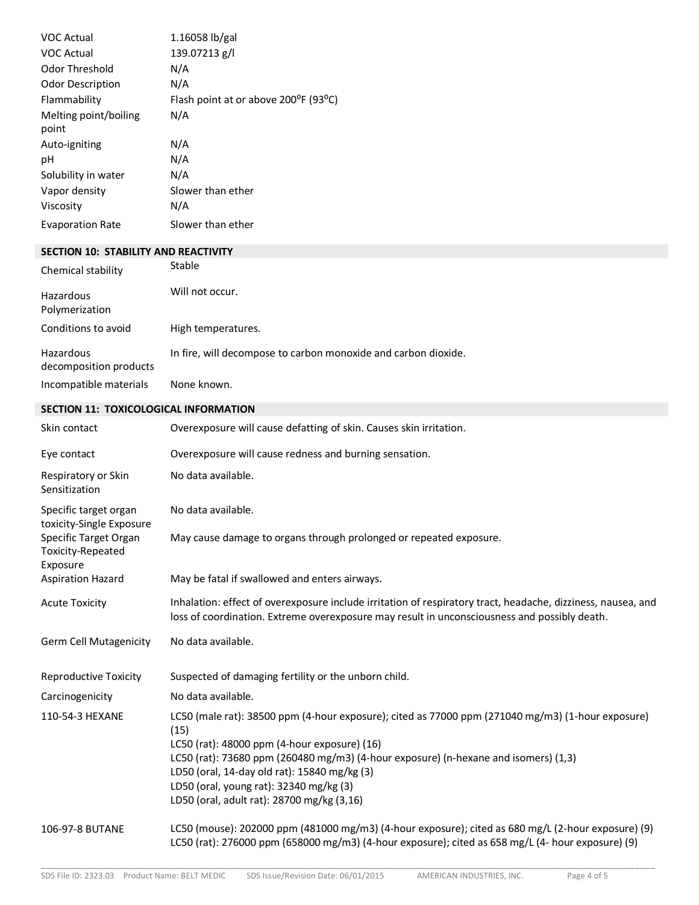| <b>VOC Actual</b>              | $1.16058$ lb/gal                     |
|--------------------------------|--------------------------------------|
| VOC Actual                     | 139.07213 g/l                        |
| Odor Threshold                 | N/A                                  |
| <b>Odor Description</b>        | N/A                                  |
| Flammability                   | Flash point at or above 200°F (93°C) |
| Melting point/boiling<br>point | N/A                                  |
| Auto-igniting                  | N/A                                  |
| рH                             | N/A                                  |
| Solubility in water            | N/A                                  |
| Vapor density                  | Slower than ether                    |
| Viscosity                      | N/A                                  |
| <b>Evaporation Rate</b>        | Slower than ether                    |

## **SECTION 10: STABILITY AND REACTIVITY**

| Chemical stability                  | Stable                                                         |
|-------------------------------------|----------------------------------------------------------------|
| Hazardous<br>Polymerization         | Will not occur.                                                |
| Conditions to avoid                 | High temperatures.                                             |
| Hazardous<br>decomposition products | In fire, will decompose to carbon monoxide and carbon dioxide. |
| Incompatible materials              | None known.                                                    |

# **SECTION 11: TOXICOLOGICAL INFORMATION**

| Skin contact                                           | Overexposure will cause defatting of skin. Causes skin irritation.                                                                                                                                                                                                                                                                                                                        |
|--------------------------------------------------------|-------------------------------------------------------------------------------------------------------------------------------------------------------------------------------------------------------------------------------------------------------------------------------------------------------------------------------------------------------------------------------------------|
| Eye contact                                            | Overexposure will cause redness and burning sensation.                                                                                                                                                                                                                                                                                                                                    |
| Respiratory or Skin<br>Sensitization                   | No data available.                                                                                                                                                                                                                                                                                                                                                                        |
| Specific target organ<br>toxicity-Single Exposure      | No data available.                                                                                                                                                                                                                                                                                                                                                                        |
| Specific Target Organ<br>Toxicity-Repeated<br>Exposure | May cause damage to organs through prolonged or repeated exposure.                                                                                                                                                                                                                                                                                                                        |
| <b>Aspiration Hazard</b>                               | May be fatal if swallowed and enters airways.                                                                                                                                                                                                                                                                                                                                             |
| <b>Acute Toxicity</b>                                  | Inhalation: effect of overexposure include irritation of respiratory tract, headache, dizziness, nausea, and<br>loss of coordination. Extreme overexposure may result in unconsciousness and possibly death.                                                                                                                                                                              |
| <b>Germ Cell Mutagenicity</b>                          | No data available.                                                                                                                                                                                                                                                                                                                                                                        |
| <b>Reproductive Toxicity</b>                           | Suspected of damaging fertility or the unborn child.                                                                                                                                                                                                                                                                                                                                      |
| Carcinogenicity                                        | No data available.                                                                                                                                                                                                                                                                                                                                                                        |
| 110-54-3 HEXANE                                        | LC50 (male rat): 38500 ppm (4-hour exposure); cited as 77000 ppm (271040 mg/m3) (1-hour exposure)<br>(15)<br>LC50 (rat): 48000 ppm (4-hour exposure) (16)<br>LC50 (rat): 73680 ppm (260480 mg/m3) (4-hour exposure) (n-hexane and isomers) (1,3)<br>LD50 (oral, 14-day old rat): 15840 mg/kg (3)<br>LD50 (oral, young rat): 32340 mg/kg (3)<br>LD50 (oral, adult rat): 28700 mg/kg (3,16) |
| 106-97-8 BUTANE                                        | LC50 (mouse): 202000 ppm (481000 mg/m3) (4-hour exposure); cited as 680 mg/L (2-hour exposure) (9)<br>LC50 (rat): 276000 ppm (658000 mg/m3) (4-hour exposure); cited as 658 mg/L (4- hour exposure) (9)                                                                                                                                                                                   |